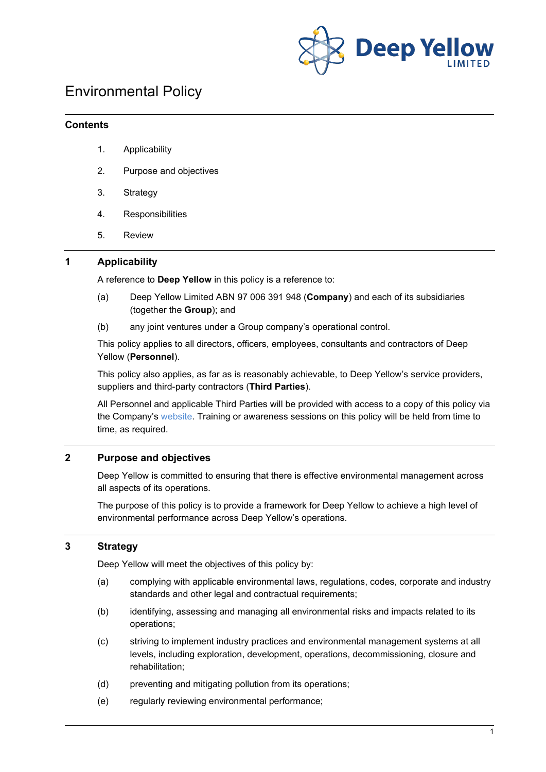

# Environmental Policy

#### **Contents**

- 1. Applicability
- 2. Purpose and objectives
- 3. Strategy
- 4. Responsibilities
- 5. Review

## **1 Applicability**

A reference to **Deep Yellow** in this policy is a reference to:

- (a) Deep Yellow Limited ABN 97 006 391 948 (**Company**) and each of its subsidiaries (together the **Group**); and
- (b) any joint ventures under a Group company's operational control.

This policy applies to all directors, officers, employees, consultants and contractors of Deep Yellow (**Personnel**).

This policy also applies, as far as is reasonably achievable, to Deep Yellow's service providers, suppliers and third-party contractors (**Third Parties**).

All Personnel and applicable Third Parties will be provided with access to a copy of this policy via the Company's [website.](http://www.deepyellow.com.au/index.html) Training or awareness sessions on this policy will be held from time to time, as required.

# **2 Purpose and objectives**

Deep Yellow is committed to ensuring that there is effective environmental management across all aspects of its operations.

The purpose of this policy is to provide a framework for Deep Yellow to achieve a high level of environmental performance across Deep Yellow's operations.

### **3 Strategy**

Deep Yellow will meet the objectives of this policy by:

- (a) complying with applicable environmental laws, regulations, codes, corporate and industry standards and other legal and contractual requirements;
- (b) identifying, assessing and managing all environmental risks and impacts related to its operations;
- (c) striving to implement industry practices and environmental management systems at all levels, including exploration, development, operations, decommissioning, closure and rehabilitation;
- (d) preventing and mitigating pollution from its operations;
- (e) regularly reviewing environmental performance;